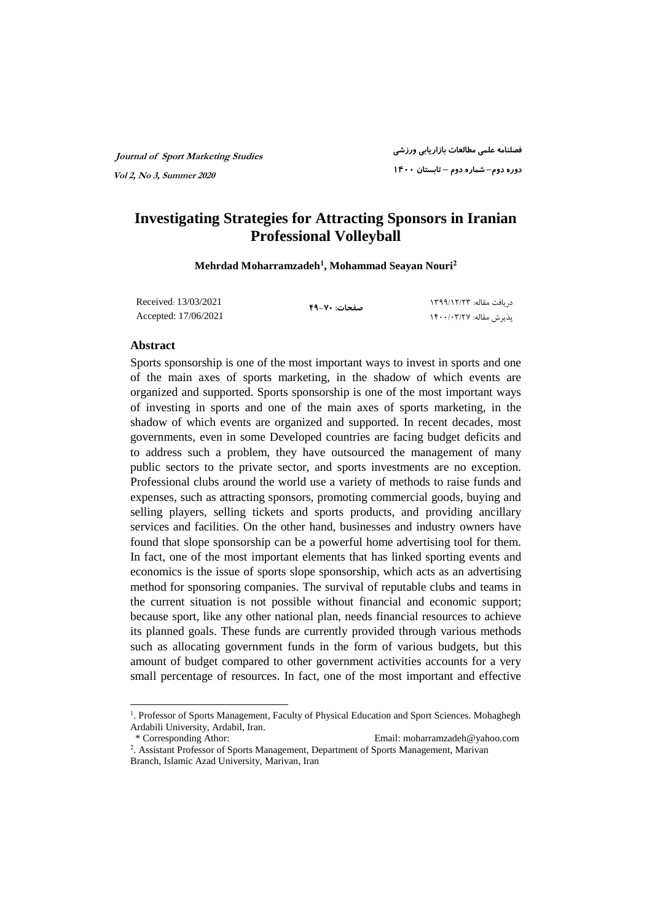## **Investigating Strategies for Attracting Sponsors in Iranian Professional Volleyball**

**Mehrdad Moharramzadeh<sup>1</sup> , Mohammad Seayan Nouri<sup>2</sup>**

Received: 13/03/2021 Accepted: 17/06/2021

**صفحات: ۴۹-۷۰**

 دریافت مقاله: ۱۳۹۹/۱۲/۲۳ پذیرش مقاله: ۱۴۰۰/۰۳/۲۷

#### **Abstract**

Sports sponsorship is one of the most important ways to invest in sports and one of the main axes of sports marketing, in the shadow of which events are organized and supported. Sports sponsorship is one of the most important ways of investing in sports and one of the main axes of sports marketing, in the shadow of which events are organized and supported. In recent decades, most governments, even in some Developed countries are facing budget deficits and to address such a problem, they have outsourced the management of many public sectors to the private sector, and sports investments are no exception. Professional clubs around the world use a variety of methods to raise funds and expenses, such as attracting sponsors, promoting commercial goods, buying and selling players, selling tickets and sports products, and providing ancillary services and facilities. On the other hand, businesses and industry owners have found that slope sponsorship can be a powerful home advertising tool for them. In fact, one of the most important elements that has linked sporting events and economics is the issue of sports slope sponsorship, which acts as an advertising method for sponsoring companies. The survival of reputable clubs and teams in the current situation is not possible without financial and economic support; because sport, like any other national plan, needs financial resources to achieve its planned goals. These funds are currently provided through various methods such as allocating government funds in the form of various budgets, but this amount of budget compared to other government activities accounts for a very small percentage of resources. In fact, one of the most important and effective

 $\overline{a}$ 

<sup>&</sup>lt;sup>1</sup>. Professor of Sports Management, Faculty of Physical Education and Sport Sciences. Mohaghegh Ardabili University, Ardabil, Iran.

 <sup>\*</sup> Corresponding Athor: Email: moharramzadeh@yahoo.com

<sup>2</sup> . Assistant Professor of Sports Management, Department of Sports Management, Marivan Branch, Islamic Azad University, Marivan, Iran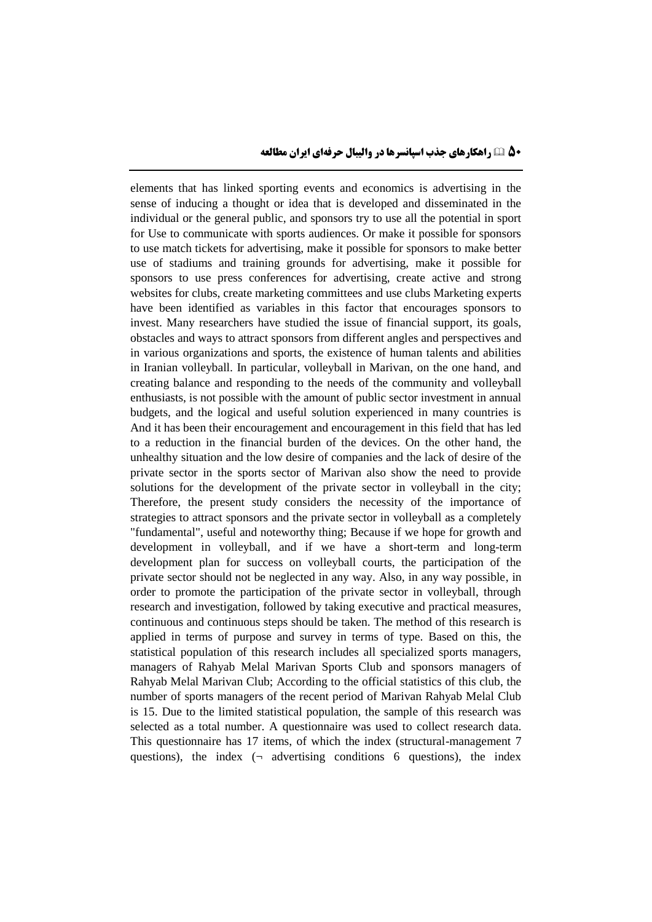elements that has linked sporting events and economics is advertising in the sense of inducing a thought or idea that is developed and disseminated in the individual or the general public, and sponsors try to use all the potential in sport for Use to communicate with sports audiences. Or make it possible for sponsors to use match tickets for advertising, make it possible for sponsors to make better use of stadiums and training grounds for advertising, make it possible for sponsors to use press conferences for advertising, create active and strong websites for clubs, create marketing committees and use clubs Marketing experts have been identified as variables in this factor that encourages sponsors to invest. Many researchers have studied the issue of financial support, its goals, obstacles and ways to attract sponsors from different angles and perspectives and in various organizations and sports, the existence of human talents and abilities in Iranian volleyball. In particular, volleyball in Marivan, on the one hand, and creating balance and responding to the needs of the community and volleyball enthusiasts, is not possible with the amount of public sector investment in annual budgets, and the logical and useful solution experienced in many countries is And it has been their encouragement and encouragement in this field that has led to a reduction in the financial burden of the devices. On the other hand, the unhealthy situation and the low desire of companies and the lack of desire of the private sector in the sports sector of Marivan also show the need to provide solutions for the development of the private sector in volleyball in the city; Therefore, the present study considers the necessity of the importance of strategies to attract sponsors and the private sector in volleyball as a completely "fundamental", useful and noteworthy thing; Because if we hope for growth and development in volleyball, and if we have a short-term and long-term development plan for success on volleyball courts, the participation of the private sector should not be neglected in any way. Also, in any way possible, in order to promote the participation of the private sector in volleyball, through research and investigation, followed by taking executive and practical measures, continuous and continuous steps should be taken. The method of this research is applied in terms of purpose and survey in terms of type. Based on this, the statistical population of this research includes all specialized sports managers, managers of Rahyab Melal Marivan Sports Club and sponsors managers of Rahyab Melal Marivan Club; According to the official statistics of this club, the number of sports managers of the recent period of Marivan Rahyab Melal Club is 15. Due to the limited statistical population, the sample of this research was selected as a total number. A questionnaire was used to collect research data. This questionnaire has 17 items, of which the index (structural-management 7 questions), the index  $(\neg$  advertising conditions 6 questions), the index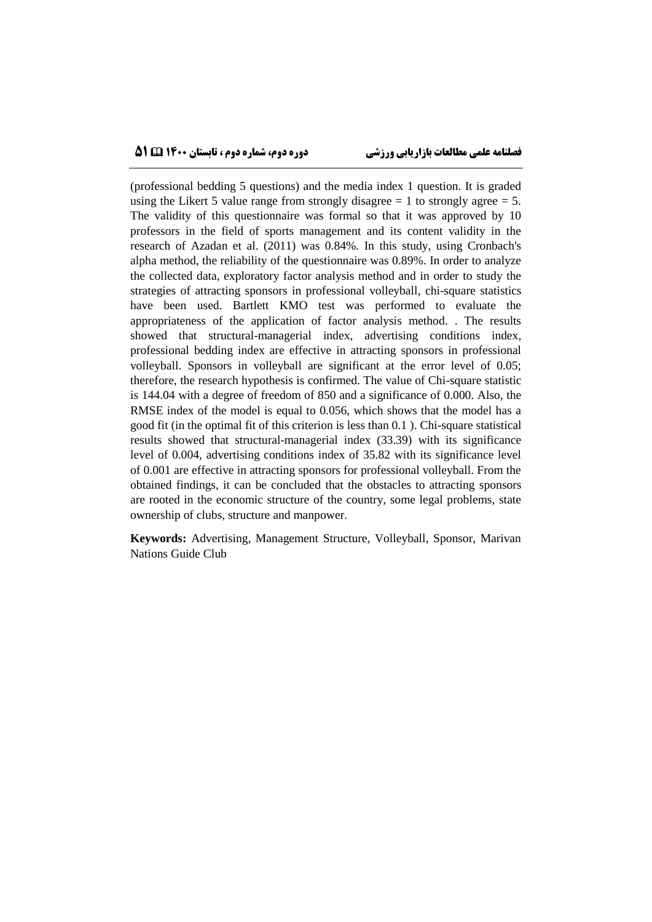(professional bedding 5 questions) and the media index 1 question. It is graded using the Likert 5 value range from strongly disagree  $= 1$  to strongly agree  $= 5$ . The validity of this questionnaire was formal so that it was approved by 10 professors in the field of sports management and its content validity in the research of Azadan et al. (2011) was 0.84%. In this study, using Cronbach's alpha method, the reliability of the questionnaire was 0.89%. In order to analyze the collected data, exploratory factor analysis method and in order to study the strategies of attracting sponsors in professional volleyball, chi-square statistics have been used. Bartlett KMO test was performed to evaluate the appropriateness of the application of factor analysis method. . The results showed that structural-managerial index, advertising conditions index, professional bedding index are effective in attracting sponsors in professional volleyball. Sponsors in volleyball are significant at the error level of 0.05; therefore, the research hypothesis is confirmed. The value of Chi-square statistic is 144.04 with a degree of freedom of 850 and a significance of 0.000. Also, the RMSE index of the model is equal to 0.056, which shows that the model has a good fit (in the optimal fit of this criterion is less than 0.1 ). Chi-square statistical results showed that structural-managerial index (33.39) with its significance level of 0.004, advertising conditions index of 35.82 with its significance level of 0.001 are effective in attracting sponsors for professional volleyball. From the obtained findings, it can be concluded that the obstacles to attracting sponsors are rooted in the economic structure of the country, some legal problems, state ownership of clubs, structure and manpower.

**Keywords:** Advertising, Management Structure, Volleyball, Sponsor, Marivan Nations Guide Club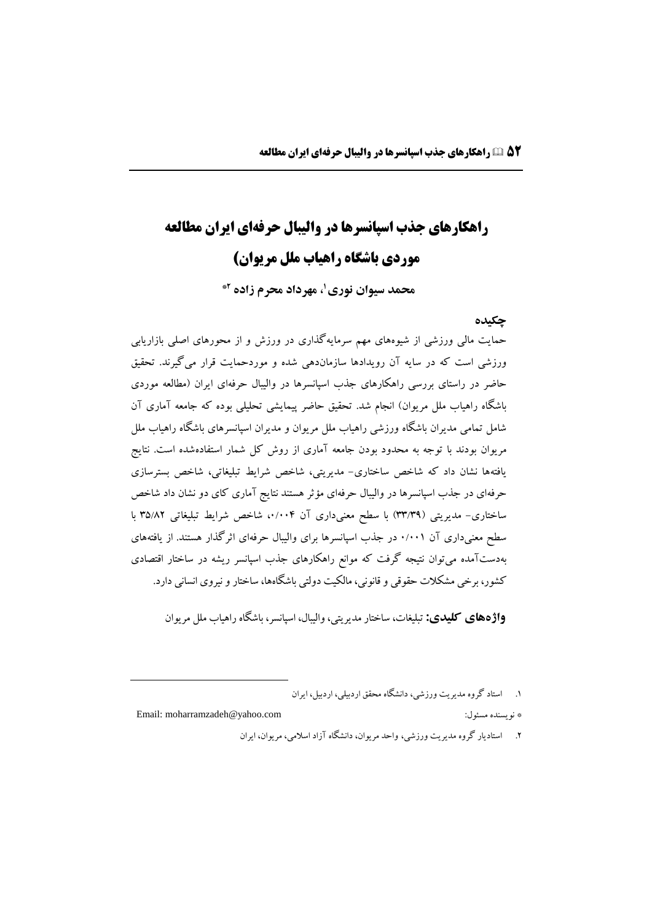# **راهکارهای جذب اسپانسرها در والیبال حرفهای ایران مطالعه موردی باشگاه راهیاب ملل مریوان(**

**1 محمد سیوان نوری ، مهرداد محرم زاده \*2**

### **چکیده**

حمایت مالی ورزشی از شیوههاي مهم سرمایهگذاري در ورزش و از محورهاي اصلی بازاریابی ورزشی است که در سایه آن رویدادها سازماندهی شده و موردحمایت قرار میگیرند. تحقیق حاضر در راستاي بررسی راهکارهاي جذب اسپانسرها در والیبال حرفهاي ایران )مطالعه موردي باشگاه راهیاب ملل مریوان) انجام شد. تحقیق حاضر پیمایشی تحلیلی بوده که جامعه آماری آن شامل تمامی مدیران باشگاه ورزشی راهیاب ملل مریوان و مدیران اسپانسرهاي باشگاه راهیاب ملل مریوان بودند با توجه به محدود بودن جامعه آماري از روش کل شمار استفادهشده است. نتایج یافتهها نشان داد که شاخص ساختاري- مدیریتی، شاخص شرایط تبلیغاتی، شاخص بسترسازي حرفهاي در جذب اسپانسرها در والیبال حرفهاي مؤثر هستند نتایج آماري کاي دو نشان داد شاخص ساختاری- مدیریتی (۳۳/۳۹) با سطح معنیداری آن ۰/۰۰۴، شاخص شرایط تبلیغاتی ۳۵/۸۲ با سطح معنیداري آن 0/001 در جذب اسپانسرها براي والیبال حرفهاي اثرگذار هستند. از یافتههاي بهدستآمده میتوان نتیجه گرفت که موانع راهکارهاي جذب اسپانسر ریشه در ساختار اقتصادي کشور، برخی مشکالت حقوقی وقانونی، مالکیت دولتی باشگاهها، ساختارونیروي انسانی دارد.

 **واژههای کلیدی:** تبلیغات، ساختارمدیریتی،والیبال، اسپانسر، باشگاهراهیاب ملل مریوان

.1 استاد گروه مدیریت ورزشی، دانشگاه محقق اردبیلی، اردبیل، ایران

Email: moharramzadeh@yahoo.com :مسئول نویسنده\*

 $\overline{a}$ 

.2 استادیار گروه مدیریت ورزشی، واحد مریوان، دانشگاه آزاد اسالمی، مریوان، ایران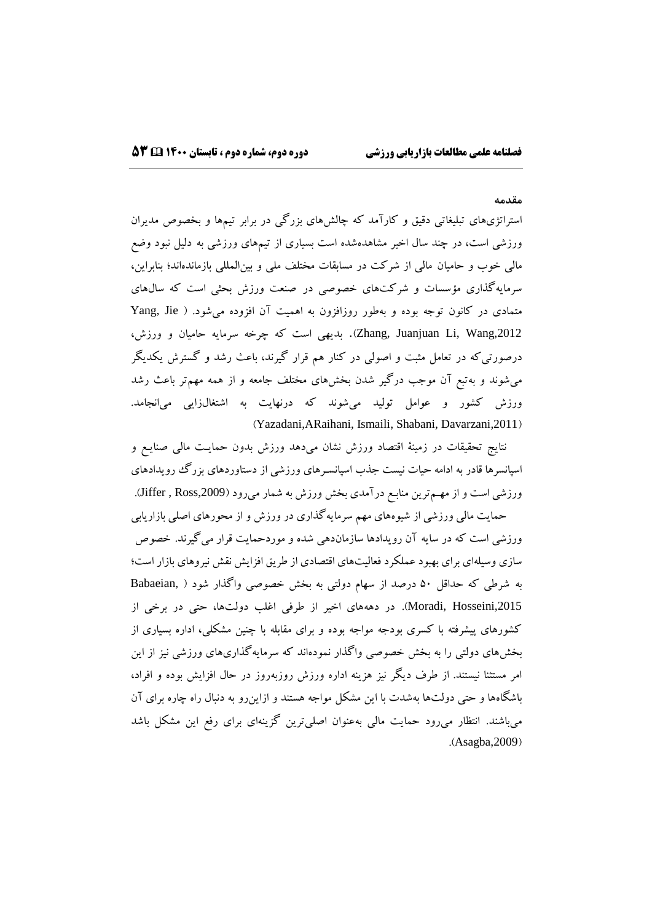#### **مقدمه**

استراتژيهاي تبلیغاتی دقیق و کارآمد که چالشهاي بزرگی در برابر تیمها و بخصوص مدیران ورزشی است، در چند سال اخیر مشاهدهشده است بسیاري از تیمهاي ورزشی به دلیل نبود وضع مالی خوب و حامیان مالی از شرکت در مسابقات مختلف ملی و بینالمللی بازماندهاند؛ بنابراین، سرمایهگذاري مؤسسات و شرکتهاي خصوصی در صنعت ورزش بحثی است که سالهاي متمادي در کانون توجه بوده و بهطور روزافزون به اهمیت آن افزوده میشود. ) Jie ,Yang Zhang, Juanjuan Li, Wang,2012). بدیهی است که چرخه سرمایه حامیان و ورزش، درصورتیکه در تعامل مثبت و اصولی در کنار هم قرار گیرند، باعث رشد و گسترش یکدیگر میشوند و بهتبع آن موجب درگیر شدن بخشهاي مختلف جامعه و از همه مهمتر باعث رشد ورزش کشور و عوامل تولید میشوند که درنهایت به اشتغالزایی میانجامد. (Yazadani,ARaihani, Ismaili, Shabani, Davarzani,2011)

نتایج تحقیقات در زمینة اقتصاد ورزش نشان میدهد ورزش بدون حمایـت مالی صنایـع و اسپانسرها قادر به ادامه حیات نیست جذب اسپانسـرهاي ورزشی از دستاوردهاي بزرگ رویدادهاي ورزشی است و از مهـمترین منابـع درآمدی بخش ورزش به شمار میرود (Jiffer , Ross,2009).

حمایت مالی ورزشی از شیوههاي مهم سرمایهگذاري در ورزش و از محورهاي اصلی بازاریابی ورزشی است که در سایه آن رویدادها سازماندهی شده و موردحمایت قرار میگیرند. خصوص سازي وسیلهاي براي بهبود عملکرد فعالیتهاي اقتصادي از طریق افزایش نقش نیروهاي بازار است؛ به شرطی که حداقل 50 درصد از سهام دولتی به بخش خصوصی واگذار شود ) ,Babaeian Moradi, Hosseini,2015). در دهههای اخیر از طرفی اغلب دولتها، حتی در برخی از کشورهاي پیشرفته با کسري بودجه مواجه بوده و براي مقابله با چنین مشکلی، اداره بسیاري از بخشهاي دولتی را به بخش خصوصی واگذار نمودهاند که سرمایهگذاريهاي ورزشی نیز از این امر مستثنا نیستند. از طرف دیگر نیز هزینه اداره ورزش روزبهروز در حال افزایش بوده و افراد، باشگاهها و حتی دولتها بهشدت با این مشکل مواجه هستند و ازاینرو به دنبال راه چاره براي آن میباشند. انتظار میرود حمایت مالی بهعنوان اصلیترین گزینهاي براي رفع این مشکل باشد  $(Asagba, 2009)$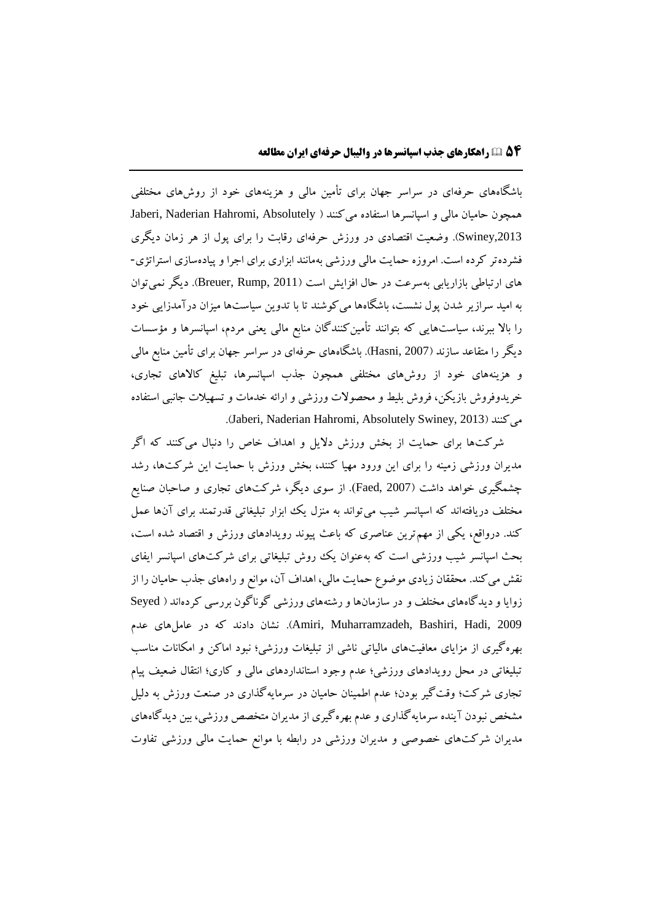باشگاههاي حرفهاي در سراسر جهان براي تأمین مالی و هزینههاي خود از روشهاي مختلفی همچون حامیان مالی و اسپانسرها استفاده میکنند ) Absolutely ,Hahromi Naderian ,Jaberi ,2013Swiney). وضعیت اقتصادي در ورزش حرفهاي رقابت را براي پول از هر زمان دیگري فشردهتر کرده است. امروزه حمایت مالی ورزشی بهمانند ابزاري براي اجرا و پیادهسازي استراتژي- های ارتباطی بازاریابی بهسرعت در حال افزایش است (Breuer, Rump, 2011). دیگر نمیتوان به امید سرازیر شدن پول نشست، باشگاهها میکوشند تا با تدوین سیاستها میزان درآمدزایی خود را بالا ببرند، سیاستهایی که بتوانند تأمینکنندگان منابع مالی یعنی مردم، اسپانسرها و مؤسسات دیگر را متقاعد سازند )2007 ,Hasni). باشگاههاي حرفهاي در سراسر جهان براي تأمین منابع مالی و هزینههاي خود از روشهاي مختلفی همچون جذب اسپانسرها، تبلیغ کاالهاي تجاري، خریدوفروش بازیکن، فروش بلیط و محصوالت ورزشی و ارائه خدمات و تسهیالت جانبی استفاده .)Jaberi, Naderian Hahromi, Absolutely Swiney, 2013( میکنند

شرکتها براي حمایت از بخش ورزش دالیل و اهداف خاص را دنبال میکنند که اگر مدیران ورزشی زمینه را براي این ورود مهیا کنند، بخش ورزش با حمایت این شرکتها، رشد چشمگیري خواهد داشت )2007 ,Faed). از سوي دیگر، شرکتهاي تجاري و صاحبان صنایع مختلف دریافتهاند که اسپانسر شیب میتواند به منزل یک ابزار تبلیغاتی قدرتمند براي آنها عمل کند. درواقع، یکی از مهمترین عناصري که باعث پیوند رویدادهاي ورزش و اقتصاد شده است، بحث اسپانسر شیب ورزشی است که بهعنوان یک روش تبلیغاتی براي شرکتهاي اسپانسر ایفاي نقش میکند. محققان زیادي موضوع حمایت مالی، اهداف آن، موانع و راههاي جذب حامیان را از زوایا و دیدگاههاي مختلف و در سازمانها و رشتههاي ورزشی گوناگون بررسی کردهاند ) Seyed 2009 ,Hadi ,Bashiri ,Muharramzadeh ,Amiri). نشان دادند که در عاملهاي عدم بهرهگیري از مزایاي معافیتهاي مالیاتی ناشی از تبلیغات ورزشی؛ نبود اماکن و امکانات مناسب تبلیغاتی در محل رویدادهاي ورزشی؛ عدم وجود استانداردهاي مالی و کاري؛ انتقال ضعیف پیام تجاري شرکت؛ وقتگیر بودن؛ عدم اطمینان حامیان در سرمایهگذاري در صنعت ورزش به دلیل مشخص نبودن آینده سرمایهگذاري و عدم بهرهگیري از مدیران متخصص ورزشی، بین دیدگاههاي مدیران شرکتهاي خصوصی و مدیران ورزشی در رابطه با موانع حمایت مالی ورزشی تفاوت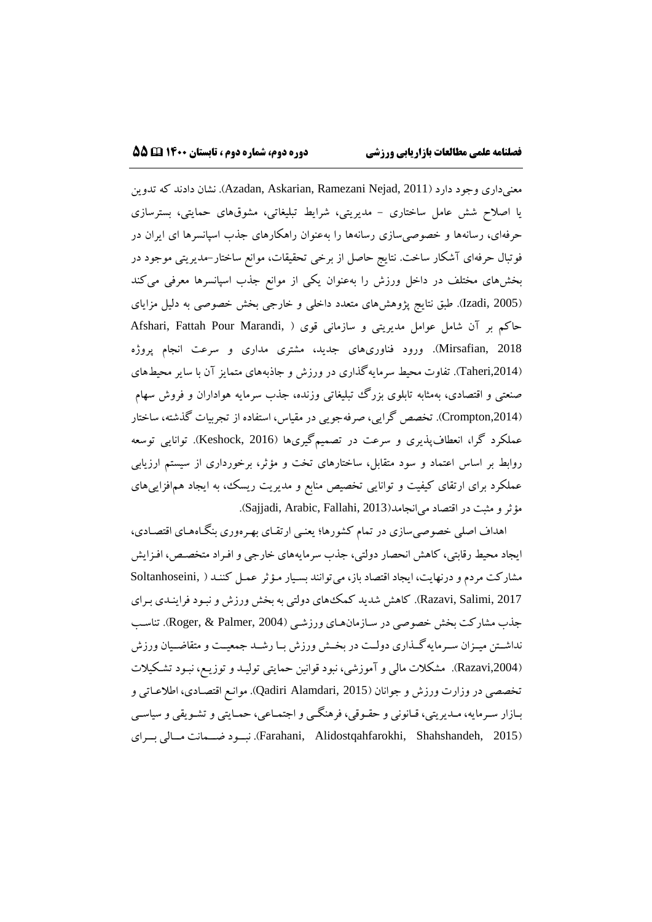معنیداري وجود دارد )2011 ,Nejad Ramezani ,Askarian ,Azadan). نشان دادند که تدوین یا اصالح شش عامل ساختاري - مدیریتی، شرایط تبلیغاتی، مشوقهاي حمایتی، بسترسازي حرفهاي، رسانهها و خصوصیسازي رسانهها را بهعنوان راهکارهاي جذب اسپانسرها اي ایران در فوتبال حرفهاي آشکار ساخت. نتایج حاصل از برخی تحقیقات، موانع ساختار-مدیریتی موجود در بخشهاي مختلف در داخل ورزش را بهعنوان یکی از موانع جذب اسپانسرها معرفی میکند )2005 ,Izadi). طبق نتایج پژوهشهاي متعدد داخلی و خارجی بخش خصوصی به دلیل مزایاي حاکم بر آن شامل عوامل مدیریتی و سازمانی قوی ( ,Afshari, Fattah Pour Marandi 2018 ,Mirsafian). ورود فناوريهاي جدید، مشتري مداري و سرعت انجام پروژه ),2014Taheri). تفاوت محیط سرمایهگذاري در ورزش و جاذبههاي متمایز آن با سایر محیطهاي صنعتی و اقتصادي، بهمثابه تابلوي بزرگ تبلیغاتی وزنده، جذب سرمایه هواداران و فروش سهام ),2014Crompton). تخصص گرایی، صرفهجویی در مقیاس، استفاده از تجربیات گذشته، ساختار عملکرد گرا، انعطافپذیري و سرعت در تصمیمگیريها )2016 ,Keshock). توانایی توسعه روابط بر اساس اعتماد و سود متقابل، ساختارهاي تخت و مؤثر، برخورداري از سیستم ارزیابی عملکرد براي ارتقاي کیفیت و توانایی تخصیص منابع و مدیریت ریسک، به ایجاد همافزاییهاي مؤثر و مثبت در اقتصاد می انجامد(Sajjadi, Arabic, Fallahi, 2013).

اهداف اصلی خصوصیسازي در تمام کشورها؛ یعنـی ارتقـاي بهـرهوري بنگـاههـاي اقتصـادي، ایجاد محیط رقابتی، کاهش انحصار دولتی، جذب سرمایههاي خارجی و افـراد متخصـص، افـزایش مشارکت مردم و درنهایت، ایجاد اقتصاد باز، میتوانند بسـیار مـؤثر عمـل کننـد ) ,Soltanhoseini Razavi, Salimi, 2017). کاهش شدید کمک هاي دولتي به بخش ورزش و نبـود فراینـدي بـراي جذب مشارکت بخش خصوصی در سـازمانهـاي ورزشـی )2004 ,Palmer & ,Roger). تناسـب نداشــتن میــزان ســرمایهگــذاري دولــت در بخــش ورزش بــا رشــد جمعیــت و متقاضــیان ورزش ),2004Razavi). مشکالت مالی و آموزشی، نبود قوانین حمایتی تولیـد و توزیـع، نبـود تشـکیالت تخصصی در وزارت ورزش و جوانان (Qadiri Alamdari, 2015). موانـع اقتصـادی، اطلاعـاتی و بـازار سـرمایه، مـدیریتی، قـانونی و حقـوقی، فرهنگـی و اجتمـاعی، حمـایتی و تشـویقی و سیاسـی )2015 ,Shahshandeh ,Alidostqahfarokhi ,Farahani). نبـــود ضـــمانت مـــالی بـــراي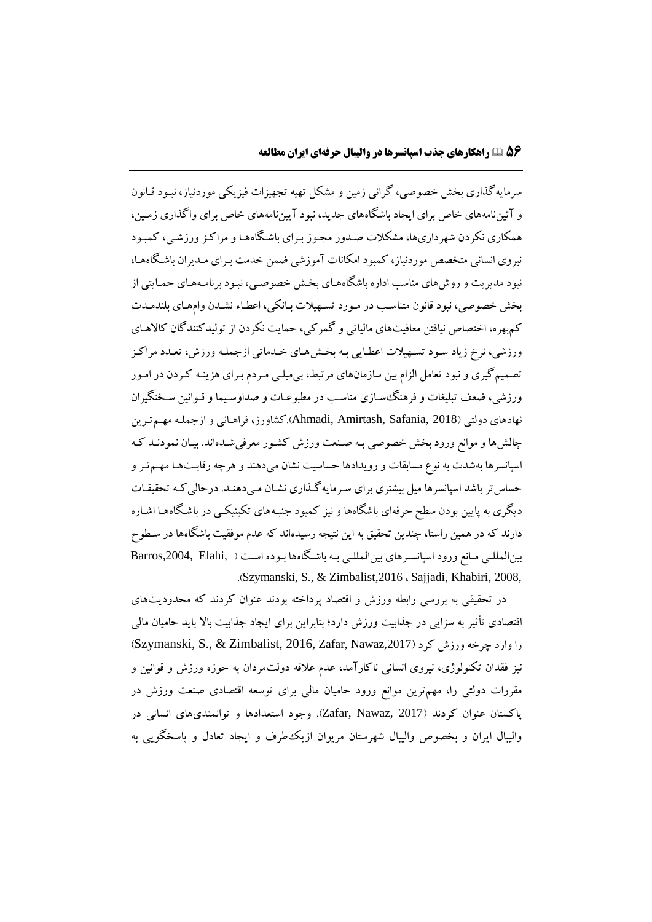سرمایهگذاري بخش خصوصی، گرانی زمین و مشکل تهیه تجهیزات فیزیکی موردنیاز، نبـود قـانون و آئیننامههاي خاص براي ایجاد باشگاههاي جدید، نبود آییننامههاي خاص براي واگذاري زمـین، همکاري نکردن شهرداريها، مشکالت صـدور مجـوز بـراي باشـگاههـا و مراکـز ورزشـی، کمبـود نیروي انسانی متخصص موردنیاز، کمبود امکانات آموزشی ضمن خدمت بـراي مـدیران باشـگاههـا، نبود مدیریت و روشهاي مناسب اداره باشگاههـاي بخـش خصوصـی، نبـود برنامـههـاي حمـایتی از بخش خصوصی، نبود قانون متناسـب در مـورد تسـهیالت بـانکی، اعطـاء نشـدن وامهـاي بلندمـدت کمبهره، اختصاص نیافتن معافیتهاي مالیاتی و گمرکی، حمایت نکردن از تولیدکنندگان کاالهـاي ورزشی، نرخ زیاد سـود تسـهیالت اعطـایی بـه بخـشهـاي خـدماتی ازجملـه ورزش، تعـدد مراکـز تصمیمگیري و نبود تعامل الزام بین سازمانهاي مرتبط، بیمیلـی مـردم بـراي هزینـه کـردن در امـور ورزشی، ضعف تبلیغات و فرهنگسـازي مناسـب در مطبوعـات و صداوسـیما و قـوانین سـختگیران نهادهاي دولتی )2018 ,Safania ,Amirtash ,Ahmadi).کشاورز، فراهـانی و ازجملـه مهـمتـرین چالشها و موانع ورود بخش خصوصی بـه صـنعت ورزش کشـور معرفیشـدهاند. بیـان نمودنـد کـه اسپانسرها بهشدت به نوع مسابقات و رویدادها حساسیت نشان میدهند و هرچه رقابـتهـا مهـمتـر و حساستر باشد اسپانسرها میل بیشتري براي سـرمایهگـذاري نشـان مـیدهنـد. درحالیکـه تحقیقـات دیگري به پایین بودن سطح حرفهاي باشگاهها و نیز کمبود جنبـههاي تکینیکـی در باشـگاههـا اشـاره دارند که در همین راستا، چندین تحقیق به این نتیجه رسیدهاند که عدم موفقیت باشگاهها در سـطوح بینالمللـی مـانع ورود اسپانسـرهاي بینالمللـی بـه باشـگاهها بـوده اسـت ) ,Elahi ,2004,Barros .)Szymanski, S., & Zimbalist,2016 ، Sajjadi, Khabiri, 2008,

در تحقیقی به بررسی رابطه ورزش و اقتصاد پرداخته بودند عنوان کردند که محدودیتهاي اقتصادي تأثیر به سزایی در جذابیت ورزش دارد؛ بنابراین براي ایجاد جذابیت باال باید حامیان مالی را وارد چرخه ورزش کرد (2017, Szymanski, S., & Zimbalist, 2016, Zafar, Nawaz نیز فقدان تکنولوژي، نیروي انسانی ناکارآمد، عدم عالقه دولتمردان به حوزه ورزش و قوانین و مقررات دولتی را، مهمترین موانع ورود حامیان مالی براي توسعه اقتصادي صنعت ورزش در پاکستان عنوان کردند )2017 ,Nawaz ,Zafar). وجود استعدادها و توانمنديهاي انسانی در والیبال ایران و بخصوص والیبال شهرستان مریوان ازیکطرف و ایجاد تعادل و پاسخگویی به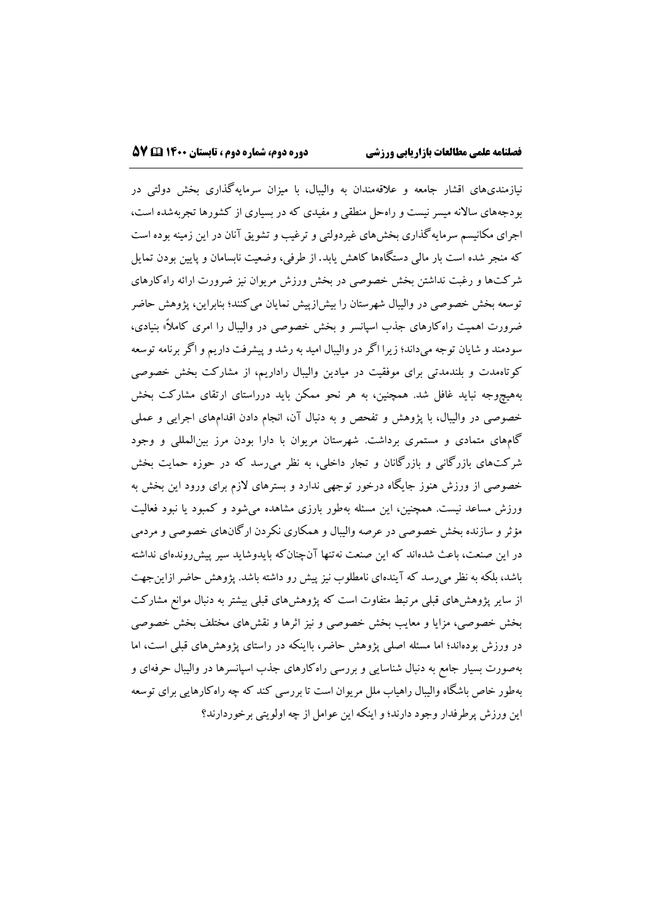نیازمنديهاي اقشار جامعه و عالقهمندان به والیبال، با میزان سرمایهگذاري بخش دولتی در بودجههاي ساالنه میسر نیست و راهحل منطقی و مفیدي که در بسیاري از کشورها تجربهشده است، اجراي مکانیسم سرمایهگذاري بخشهاي غیردولتی و ترغیب و تشویق آنان در این زمینه بوده است که منجر شده است بار مالی دستگاهها کاهش یابد. از طرفی، وضعیت نابسامان و پایین بودن تمایل شرکتها و رغبت نداشتن بخش خصوصی در بخش ورزش مریوان نیز ضرورت ارائه راهکارهاي توسعه بخش خصوصی در والیبال شهرستان را بیشازپیش نمایان میکنند؛ بنابراین، پژوهش حاضر ضرورت اهمیت راهکارهای جذب اسپانسر و بخش خصوصی در والیبال را امری کاملاً» بنیادی، سودمند و شایان توجه میداند؛ زیرا اگر در والیبال امید به رشد و پیشرفت داریم و اگر برنامه توسعه کوتاهمدت و بلندمدتی براي موفقیت در میادین والیبال راداریم، از مشارکت بخش خصوصی بههیچوجه نباید غافل شد. همچنین، به هر نحو ممکن باید درراستاي ارتقاي مشارکت بخش خصوصی در والیبال، با پژوهش و تفحص و به دنبال آن، انجام دادن اقدامهاي اجرایی و عملی گامهاي متمادي و مستمري برداشت. شهرستان مریوان با دارا بودن مرز بینالمللی و وجود شرکتهاي بازرگانی و بازرگانان و تجار داخلی، به نظر میرسد که در حوزه حمایت بخش خصوصی از ورزش هنوز جایگاه درخور توجهی ندارد و بسترهاي الزم براي ورود این بخش به ورزش مساعد نیست. همچنین، این مسئله بهطور بارزي مشاهده میشود و کمبود یا نبود فعالیت مؤثر و سازنده بخش خصوصی در عرصه والیبال و همکاري نکردن ارگانهاي خصوصی و مردمی در این صنعت، باعث شدهاند که این صنعت نهتنها آنچنانکه بایدوشاید سیر پیشروندهاي نداشته باشد، بلکه به نظر میرسد که آیندهاي نامطلوب نیز پیش رو داشته باشد. پژوهش حاضر ازاینجهت از سایر پژوهشهاي قبلی مرتبط متفاوت است که پژوهشهاي قبلی بیشتر به دنبال موانع مشارکت بخش خصوصی، مزایا و معایب بخش خصوصی و نیز اثرها و نقشهاي مختلف بخش خصوصی در ورزش بودهاند؛ اما مسئله اصلی پژوهش حاضر، بااینکه در راستاي پژوهشهاي قبلی است، اما بهصورت بسیار جامع به دنبال شناسایی و بررسی راهکارهاي جذب اسپانسرها در والیبال حرفهاي و بهطور خاص باشگاه والیبال راهیاب ملل مریوان است تا بررسی کند که چه راهکارهایی براي توسعه این ورزش پرطرفدار وجود دارند؛و اینکه این عوامل از چه اولویتی برخوردارند؟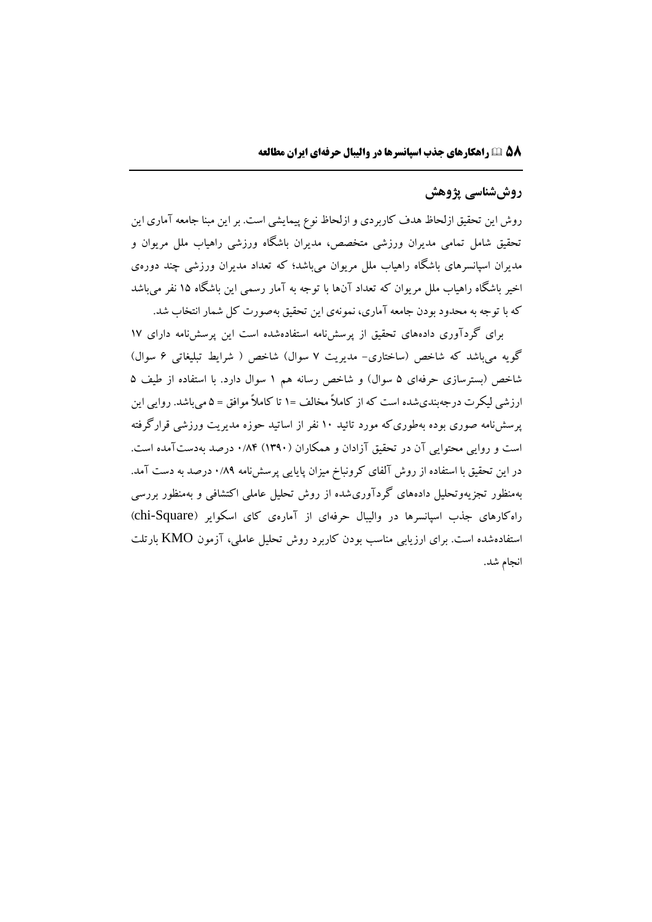# **روششناسی پژوهش**

روش این تحقیق ازلحاظ هدف کاربردي و ازلحاظ نوع پیمایشی است. بر این مبنا جامعه آماري این تحقیق شامل تمامی مدیران ورزشی متخصص، مدیران باشگاه ورزشی راهیاب ملل مریوان و مدیران اسپانسرهاي باشگاه راهیاب ملل مریوان میباشد؛ که تعداد مدیران ورزشی چند دورهي اخیر باشگاه راهیاب ملل مریوان که تعداد آنها با توجه به آمار رسمی این باشگاه 15 نفر میباشد که با توجه به محدود بودن جامعه آماري، نمونهي این تحقیق بهصورت کل شمار انتخاب شد.

براي گردآوري دادههاي تحقیق از پرسشنامه استفادهشده است این پرسشنامه داراي 17 گویه میباشد که شاخص (ساختاری- مدیریت ۷ سوال) شاخص ( شرایط تبلیغاتی ۶ سوال) شاخص (بسترسازي حرفهاي ۵ سوال) و شاخص رسانه هم ۱ سوال دارد. با استفاده از طیف ۵ ارزشی لیکرت درجهبنديشده است که از کامالا مخالف =1 تا کامالا موافق = 5 میباشد. روایی این پرسشنامه صوري بوده بهطوريکه مورد تائید 10 نفر از اساتید حوزه مدیریت ورزشی قرارگرفته است و روایی محتوایی آن در تحقیق آزادان و همکاران )1390( 0/84 درصد بهدستآمده است. در این تحقیق با استفاده از روش آلفاي کرونباخ میزان پایایی پرسشنامه 0/89 درصد به دست آمد. بهمنظور تجزیهوتحلیل دادههاي گردآوريشده از روش تحلیل عاملی اکتشافی و بهمنظور بررسی راهکارهاي جذب اسپانسرها در واليبال حرفهاي از آمارهي کاي اسکواير (chi-Square) استفادهشده است. براي ارزیابی مناسب بودن کاربرد روش تحلیل عاملی، آزمون KMO بارتلت انجام شد.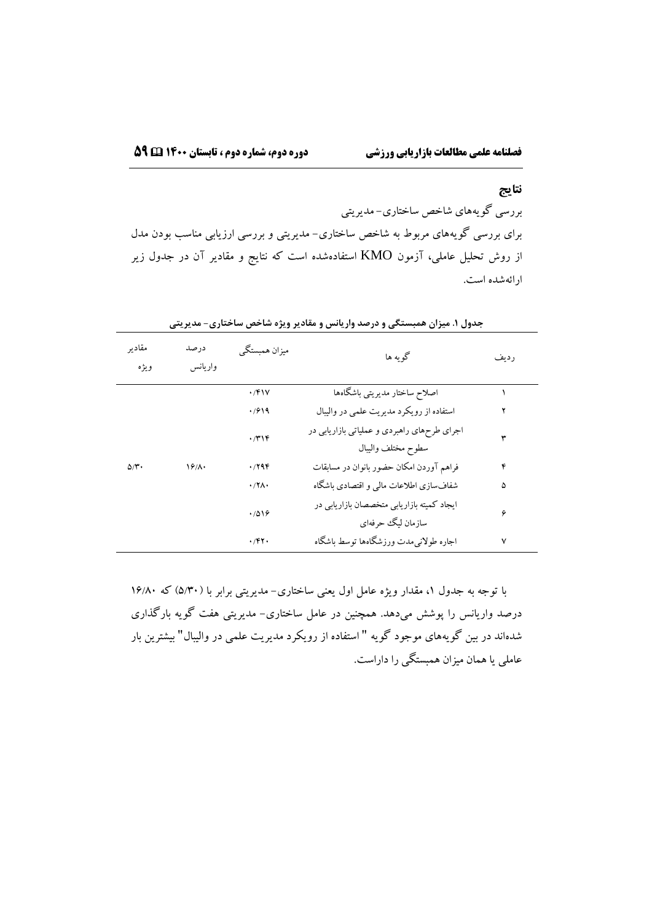#### **نتایج**

بررسی گویههاي شاخص ساختاري- مدیریتی براي بررسی گویههاي مربوط به شاخص ساختاري- مدیریتی و بررسی ارزیابی مناسب بودن مدل از روش تحلیل عاملی، آزمون KMO استفادهشده است که نتایج و مقادیر آن در جدول زیر ارائهشده است.

| مقادير<br>ويژه    | درصد<br>واريانس | میزان همبستگی       | گو په ها                                    | رديف |  |
|-------------------|-----------------|---------------------|---------------------------------------------|------|--|
|                   |                 | $\cdot$ /۴۱۷        | اصلاح ساختار مديريتي باشگاهها               |      |  |
|                   |                 | .7919               | استفاده از رویکرد مدیریت علمی در والیبال    |      |  |
|                   |                 | $\cdot$ /۳۱۴        | اجرای طرحهای راهبردی و عملیاتی بازاریابی در | ٣    |  |
|                   |                 |                     | سطوح مختلف واليبال                          |      |  |
| $\Delta/\Upsilon$ | 18/1.           | ۰/۲۹۴               | فراهم آوردن امكان حضور بانوان در مسابقات    | ۴    |  |
|                   |                 | $\cdot$ /۲۸ $\cdot$ | شفافسازی اطلاعات مالی و اقتصادی باشگاه      | ۵    |  |
|                   |                 | .7019               | ایجاد کمیته بازاریابی متخصصان بازاریابی در  | ۶    |  |
|                   |                 |                     | سازمان ليگ حرفهاي                           |      |  |
|                   |                 | ۰/۴۲۰               | اجاره طولانيءدت ورزشگاهها توسط باشگاه       | ٧    |  |

**جدول .1 میزان همبستگی و درصد واریانس و مقادیر ویژه شاخص ساختاری- مدیریتی**

با توجه به جدول ۱، مقدار ویژه عامل اول یعنی ساختاری– مدیریتی برابر با (۵/۳۰) که ۱۶/۸۰ درصد واریانس را پوشش میدهد. همچنین در عامل ساختاري- مدیریتی هفت گویه بارگذاري شدهاند در بین گویههاي موجود گویه " استفاده از رویکرد مدیریت علمی در والیبال" بیشترین بار عاملی یا همان میزان همبستگی را داراست.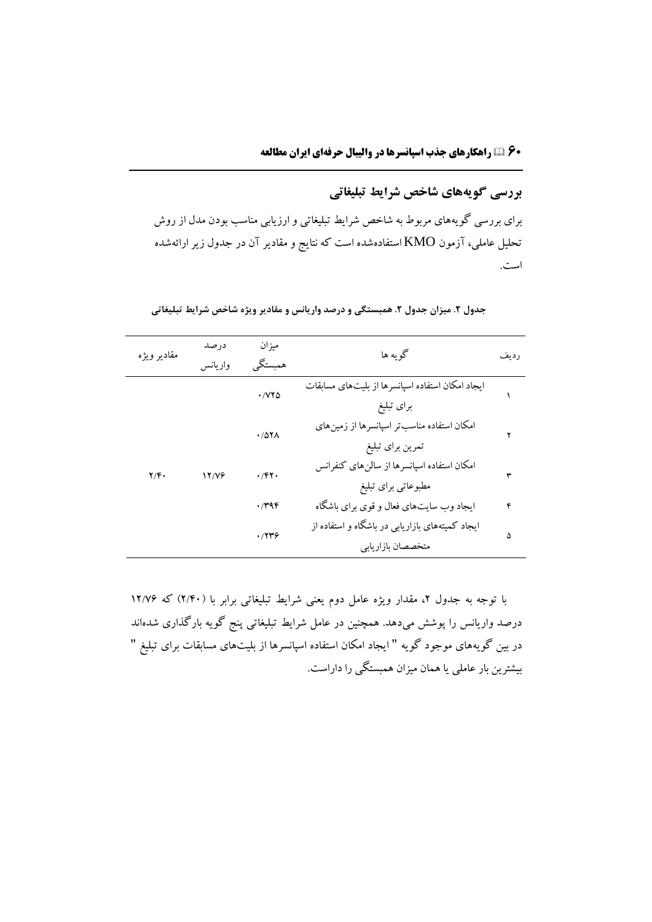**بررسی گویههای شاخص شرایط تبلیغاتی**

براي بررسی گویههاي مربوط به شاخص شرایط تبلیغاتی وارزیابی مناسب بودن مدل از روش تحلیل عاملی، آزمون KMO استفادهشده است که نتایج و مقادیر آن در جدول زیرارائهشده است.

| مقادير ويژه             | درصد<br>واريانس | ميزان<br>همبستگم              | گو په ها                                                             | رديف |
|-------------------------|-----------------|-------------------------------|----------------------------------------------------------------------|------|
|                         |                 | $\cdot$ / $\vee\vee\triangle$ | ایجاد امکان استفاده اسپانسرها از بلیتهای مسابقات<br>براى تبليغ       |      |
|                         | 17/79           | ۱/۵۲۸                         | امکان استفاده مناسبتر اسپانسرها از زمینهای<br>تمرين براي تبليغ       |      |
| $\mathbf{Y}/\mathbf{F}$ |                 | ۰/۴۲۰                         | امکان استفاده اسپانسرها از سالن۵ای کنفرانس<br>مطبوعاتی برای تبلیغ    |      |
|                         |                 | ۰/۳۹۴                         | ایجاد وب سایتهای فعال و قوی برای باشگاه                              | ۴    |
|                         |                 | ۰/۲۳۶                         | ایجاد کمیتههای بازاریابی در باشگاه و استفاده از<br>متخصصان بازاريابي | ۵    |

**جدول .2 میزان جدول .2 همبستگی و درصد واریانس و مقادیر ویژه شاخص شرایط تبلیغاتی**

با توجه به جدول ۲، مقدار ویژه عامل دوم یعنی شرایط تبلیغاتی برابر با (۲/۴۰) که ۱۲/۷۶ درصد واریانس را پوشش میدهد. همچنین در عامل شرایط تبلیغاتی پنج گویه بارگذاري شدهاند در بین گویههاي موجود گویه " ایجاد امکان استفاده اسپانسرها از بلیتهاي مسابقات براي تبلیغ " بیشترین بار عاملی یا همان میزان همبستگی را داراست.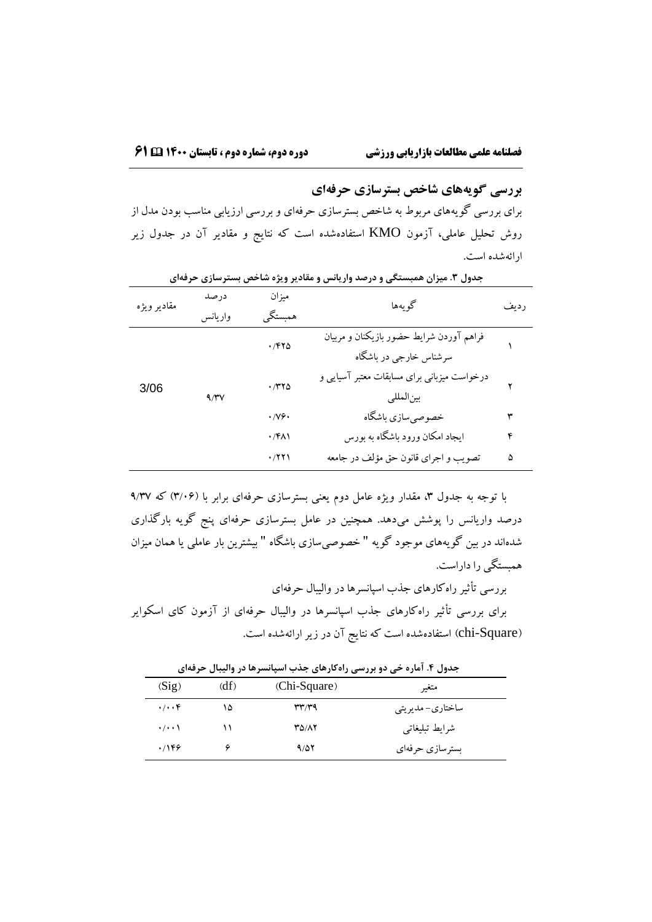**بررسی گویههای شاخص بسترسازی حرفهای**

براي بررسی گویههاي مربوط به شاخص بسترسازي حرفهاي و بررسی ارزیابی مناسب بودن مدل از روش تحلیل عاملی، آزمون KMO استفادهشده است که نتایج و مقادیر آن در جدول زیر ارائهشده است.

| مقادير ويژه | درصد<br>واريانس | ميزان<br>همبستگي             | گويەھا                                      | رديف |  |
|-------------|-----------------|------------------------------|---------------------------------------------|------|--|
|             |                 |                              |                                             |      |  |
|             |                 | ۱/۴۲۵                        | فراهم آوردن شرايط حضور بازيكنان و مربيان    |      |  |
|             |                 |                              | سرشناس خارجي در باشگاه                      |      |  |
|             |                 |                              | درخواست میزبانی برای مسابقات معتبر آسیایی و |      |  |
| 3/06        |                 | $\cdot$ /٣٢٥                 |                                             |      |  |
|             | 9/7V            |                              | بين المللي                                  |      |  |
|             |                 | $\cdot$ / $\vee \circ \cdot$ | خصوصي سازي باشكاه                           |      |  |
|             |                 | ۰/۴۸۱                        | ایجاد امکان ورود باشگاه به بورس             | ۴    |  |
|             |                 |                              |                                             |      |  |
|             |                 | $\cdot$ /۲۲۱                 | تصويب و اجراي قانون حق مؤلف در جامعه        | ۵    |  |

**جدول .3 میزان همبستگی و درصد واریانس و مقادیر ویژه شاخص بسترسازی حرفهای**

با توجه به جدول ۳، مقدار ویژه عامل دوم یعنی بسترسازی حرفهای برابر با (۳/۰۶) که ۹/۳۷ درصد واریانس را پوشش میدهد. همچنین در عامل بسترسازي حرفهاي پنج گویه بارگذاري شدهاند در بین گویههاي موجود گویه " خصوصیسازي باشگاه " بیشترین بار عاملی یا همان میزان همبستگی را داراست.

بررسی تأثیر راهکارهاي جذب اسپانسرها در والیبال حرفهاي براي بررسی تأثیر راهکارهاي جذب اسپانسرها در والیبال حرفهاي از آزمون کاي اسکوایر )Square-chi )استفادهشده است که نتایج آن در زیر ارائهشده است.

**جدول .۴ آماره خی دو بررسی راهکارهای جذب اسپانسرها در والیبال حرفهای**

| (Sig)                | (df) | (Chi-Square) | متغير            |
|----------------------|------|--------------|------------------|
| $\cdot/\cdot\cdot f$ | ۱۵   | 377/39       | ساختاري- مديريتي |
| $\cdot/\cdot\cdot$   |      | <b>۳۵/۸۲</b> | شرايط تبليغاتي   |
| .799                 |      | 9/27         | بسترسازي حرفهاي  |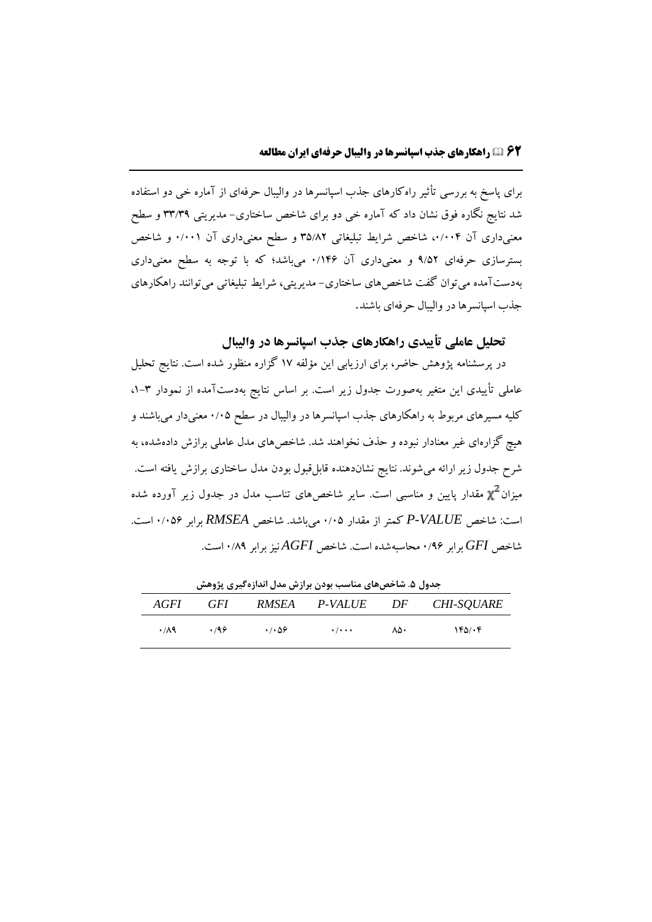براي پاسخ به بررسی تأثیر راهکارهاي جذب اسپانسرها در والیبال حرفهاي از آماره خی دو استفاده شد نتایج نگاره فوق نشان داد که آماره خی دو براي شاخص ساختاري- مدیریتی 33/39 و سطح معنیداری آن ۰/۰۰۴، شاخص شرایط تبلیغاتی ۳۵/۸۲ و سطح معنیداری آن ۰/۰۰۱ و شاخص بسترسازي حرفهاي 9/52 و معنیداري آن 0/146 میباشد؛ که با توجه به سطح معنیداري بهدستآمده میتوان گفت شاخصهاي ساختاري- مدیریتی، شرایط تبلیغاتی میتوانند راهکارهاي جذب اسپانسرها در والیبال حرفهاي باشند.

**تحلیل عاملی تأییدی راهکارهای جذب اسپانسرها در والیبال**

در پرسشنامه پژوهش حاضر، براي ارزیابی این مؤلفه 17 گزاره منظور شده است. نتایج تحلیل عاملی تأییدي این متغیر بهصورت جدول زیر است. بر اساس نتایج بهدستآمده از نمودار ،1-3 کلیه مسیرهاي مربوط به راهکارهاي جذب اسپانسرها در والیبال در سطح 0/05 معنیدار میباشند و هیچ گزارهاي غیر معنادار نبوده و حذف نخواهند شد. شاخصهاي مدل عاملی برازش دادهشده، به شرح جدول زیر ارائه میشوند. نتایج نشاندهنده قابلقبول بودن مدل ساختاري برازش یافته است. میزان مقدار پایین و مناسبی است. سایر شاخصهاي تناسب مدل در جدول زیر آورده شده است: شاخص *VALUE-P* کمتر از مقدار 0/05 میباشد. شاخص *RMSEA* برابر 0/056 است. شاخص *GFI* برابر 0/96 محاسبهشده است. شاخص *AGFI* نیز برابر 0/89 است.

| جدول ۵. ساخصهای مناسب بودن برازس مدل اندازه دیری پژوهس |            |                      |                           |     |                                        |  |
|--------------------------------------------------------|------------|----------------------|---------------------------|-----|----------------------------------------|--|
| <i>AGFI</i>                                            | <b>GFI</b> | RMSEA                | P-VALUE                   | DF  | <i>CHI-SOUARE</i>                      |  |
| ۰/۸۹                                                   | .799       | $\cdot$ / $\cdot$ 56 | $\cdot$ / $\cdot$ $\cdot$ | ۸۵۰ | $Y^{\epsilon} \Delta / \cdot \epsilon$ |  |

**جدول .5 شاخصهای مناسب بودن برازش مدل اندازهگیری پژوهش**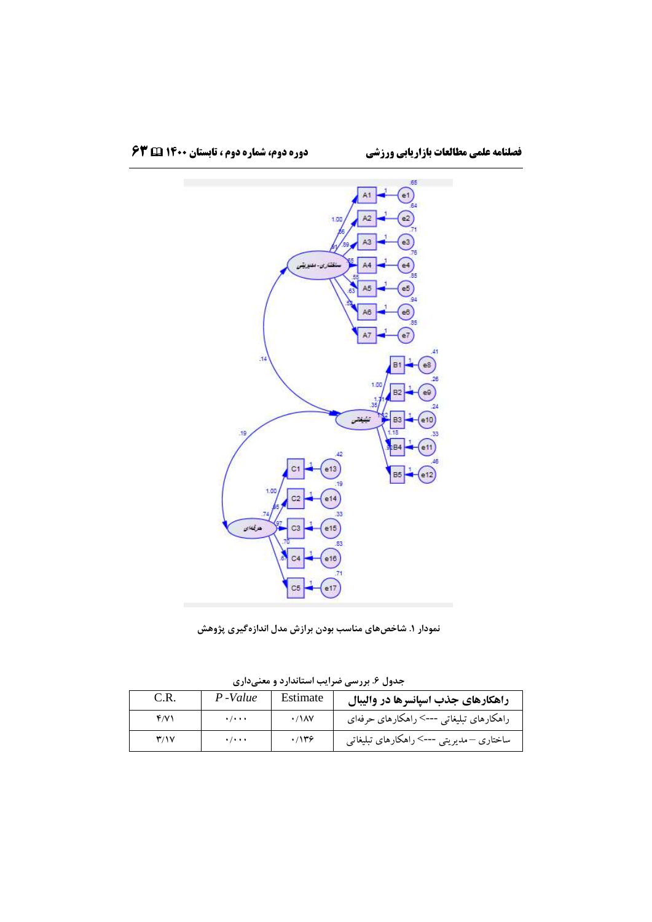

**نمودار .1 شاخصهای مناسب بودن برازش مدل اندازهگیری پژوهش**

|                         |                           |                       | .                                        |
|-------------------------|---------------------------|-----------------------|------------------------------------------|
| C.R.                    | P-Value                   | Estimate              | راهکارهای جذب اسپانسرها در والیبال       |
| f/V                     | $\cdot$ / $\cdot$ $\cdot$ | $\cdot$ / $\lambda$ V | راهکارهای تبلیغاتی --->راهکارهای حرفهای  |
| $\mathbf{r}/\mathbf{v}$ | $\cdot$ / $\cdot$ $\cdot$ | .7149                 | ساختاری –مدیریتی ---> راهکارهای تبلیغاتی |

**جدول .6 بررسی ضرایب استاندارد و معنیداری**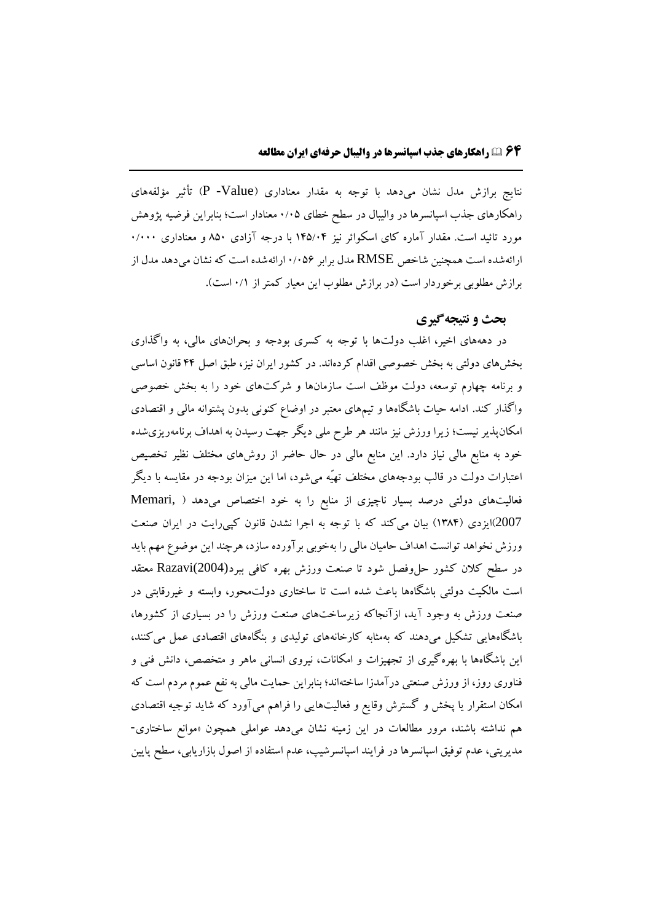نتایج برازش مدل نشان میدهد با توجه به مقدار معناداري )Value- P )تأثیر مؤلفههاي راهکارهاي جذب اسپانسرها در والیبال در سطح خطاي 0/05 معنادار است؛ بنابراین فرضیه پژوهش مورد تائید است. مقدار آماره کاي اسکوائر نیز 145/04 با درجه آزادي 850 و معناداري 0/000 ارائهشده است همچنین شاخص RMSE مدل برابر 0/056 ارائهشده است که نشان میدهد مدل از برازش مطلوبی برخوردار است (در برازش مطلوب این معیار کمتر از ۰/۱ است).

## **بحث و نتیجهگیری**

در دهههاي اخیر، اغلب دولتها با توجه به کسري بودجه و بحرانهاي مالی، به واگذاري بخشهاي دولتی به بخش خصوصی اقدام کردهاند. در کشور ایران نیز، طبق اصل 44 قانون اساسی و برنامه چهارم توسعه، دولت موظف است سازمانها و شرکتهاي خود را به بخش خصوصی واگذار کند. ادامه حیات باشگاهها و تیمهاي معتبر در اوضاع کنونی بدون پشتوانه مالی و اقتصادي امکانپذیر نیست؛ زیرا ورزش نیز مانند هر طرح ملی دیگر جهت رسیدن به اهداف برنامهریزيشده خود به منابع مالی نیاز دارد. این منابع مالی در حال حاضر از روشهاي مختلف نظیر تخصیص اعتبارات دولت در قالب بودجههاي مختلف تهیّه میشود، اما این میزان بودجه در مقایسه با دیگر فعالیتهاي دولتی درصد بسیار ناچیزي از منابع را به خود اختصاص میدهد ) ,Memari 2007(ایزدي )1384( بیان میکند که با توجه به اجرا نشدن قانون کپیرایت در ایران صنعت ورزش نخواهد توانست اهداف حامیان مالی را بهخوبی برآورده سازد، هرچند این موضوع مهم باید در سطح کالن کشور حلوفصل شود تا صنعت ورزش بهره کافی ببرد(2004)Razavi معتقد است مالکیت دولتی باشگاهها باعث شده است تا ساختاري دولتمحور، وابسته و غیررقابتی در صنعت ورزش به وجود آید، ازآنجاکه زیرساختهاي صنعت ورزش را در بسیاري از کشورها، باشگاههایی تشکیل میدهند که بهمثابه کارخانههاي تولیدي و بنگاههاي اقتصادي عمل میکنند، این باشگاهها با بهرهگیري از تجهیزات و امکانات، نیروي انسانی ماهر و متخصص، دانش فنی و فناوري روز، از ورزش صنعتی درآمدزا ساختهاند؛ بنابراین حمایت مالی به نفع عموم مردم است که امکان استقرار یا پخش و گسترش وقایع و فعالیتهایی را فراهم میآورد که شاید توجیه اقتصادي هم نداشته باشند، مرور مطالعات در این زمینه نشان میدهد عواملی همچون »موانع ساختاري- مدیریتی، عدم توفیق اسپانسرها در فرایند اسپانسرشیپ، عدم استفاده از اصول بازاریابی، سطح پایین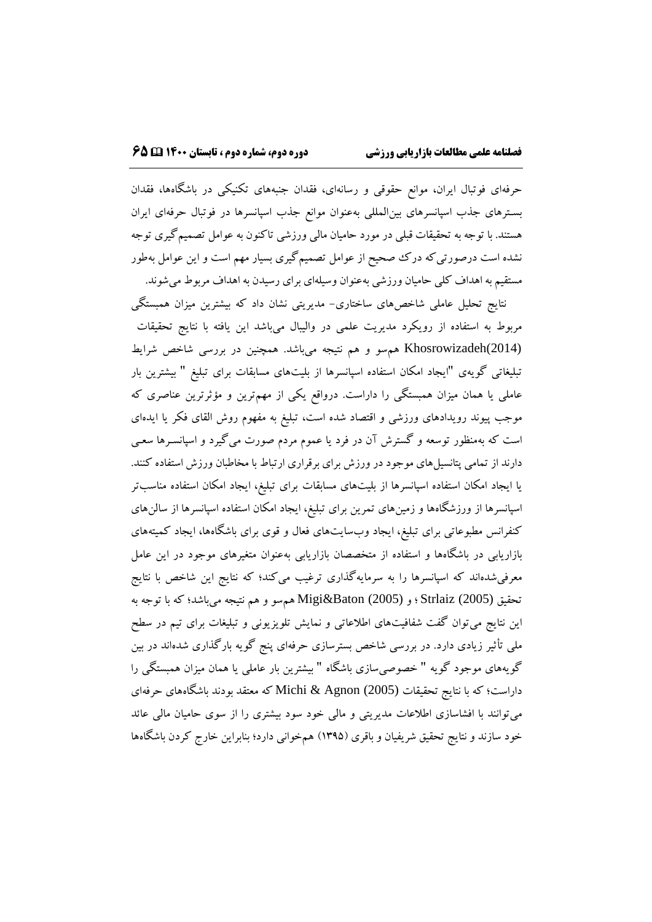حرفهاي فوتبال ایران، موانع حقوقی و رسانهاي، فقدان جنبههاي تکنیکی در باشگاهها، فقدان بسـترهاي جذب اسپانسرهاي بینالمللی بهعنوان موانع جذب اسپانسرها در فوتبال حرفهاي ایران هستند. با توجه به تحقیقات قبلی در مورد حامیان مالی ورزشی تاکنون به عوامل تصمیمگیري توجه نشده است درصورتیکه درک صحیح از عوامل تصمیمگیري بسیار مهم است و این عوامل بهطور مستقیم به اهداف کلی حامیان ورزشی بهعنوان وسیلهاي براي رسیدن به اهداف مربوط میشوند.

نتایج تحلیل عاملی شاخصهاي ساختاري- مدیریتی نشان داد که بیشترین میزان همبستگی مربوط به استفاده از رویکرد مدیریت علمی در والیبال میباشد این یافته با نتایج تحقیقات (2014)Khosrowizadeh همسو و هم نتیجه میباشد. همچنین در بررسی شاخص شرایط تبلیغاتی گویهي "ایجاد امکان استفاده اسپانسرها از بلیتهاي مسابقات براي تبلیغ " بیشترین بار عاملی یا همان میزان همبستگی را داراست. درواقع یکی از مهمترین و مؤثرترین عناصري که موجب پیوند رویدادهاي ورزشی و اقتصاد شده است، تبلیغ به مفهوم روش القاي فکر یا ایدهاي است که بهمنظور توسعه و گسترش آن در فرد یا عموم مردم صورت میگیرد و اسپانسـرها سعـی دارند از تمامی پتانسیلهاي موجود در ورزش براي برقراري ارتباط با مخاطبان ورزش استفاده کنند. یا ایجاد امکان استفاده اسپانسرها از بلیتهاي مسابقات براي تبلیغ، ایجاد امکان استفاده مناسبتر اسپانسرها از ورزشگاهها و زمینهاي تمرین براي تبلیغ، ایجاد امکان استفاده اسپانسرها از سالنهاي کنفرانس مطبوعاتی براي تبلیغ، ایجاد وبسایتهاي فعال و قوي براي باشگاهها، ایجاد کمیتههاي بازاریابی در باشگاهها و استفاده از متخصصان بازاریابی بهعنوان متغیرهاي موجود در این عامل معرفیشدهاند که اسپانسرها را به سرمایهگذاري ترغیب میکند؛ که نتایج این شاخص با نتایج تحقیق (2005) Strlaiz ؛ و (2005) Baton&Migi همسو و هم نتیجه میباشد؛ که با توجه به این نتایج میتوان گفت شفافیتهاي اطالعاتی و نمایش تلویزیونی و تبلیغات براي تیم در سطح ملی تأثیر زیادي دارد. در بررسی شاخص بسترسازي حرفهاي پنج گویه بارگذاري شدهاند در بین گویههاي موجود گویه " خصوصیسازي باشگاه " بیشترین بار عاملی یا همان میزان همبستگی را داراست؛ که با نتایج تحقیقات (2005) Agnon & Michi که معتقد بودند باشگاههاي حرفهاي میتوانند با افشاسازي اطالعات مدیریتی و مالی خود سود بیشتري را از سوي حامیان مالی عائد خود سازند و نتایج تحقیق شریفیان و باقري )1395( همخوانی دارد؛ بنابراین خارج کردن باشگاهها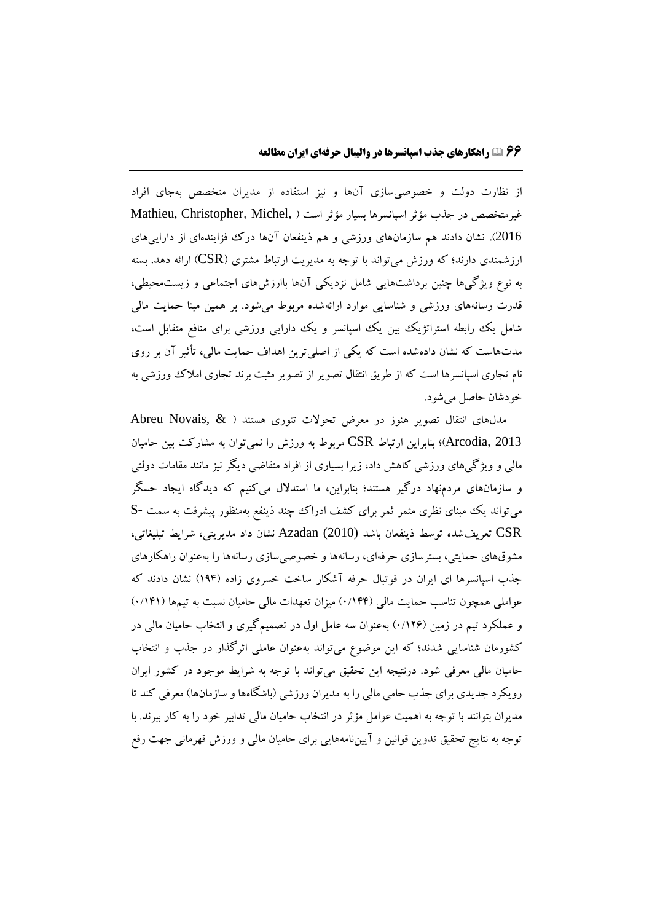از نظارت دولت و خصوصیسازي آنها و نیز استفاده از مدیران متخصص بهجاي افراد غیرمتخصص در جذب مؤثر اسپانسرها بسیار مؤثر است ) ,Michel ,Christopher ,Mathieu 2016(. نشان دادند هم سازمانهاي ورزشی و هم ذینفعان آنها درک فزایندهاي از داراییهاي ارزشمندي دارند؛ که ورزش می تواند با توجه به مدیریت ارتباط مشتری (CSR) ارائه دهد. بسته به نوع ویژگیها چنین برداشتهایی شامل نزدیکی آنها باارزشهاي اجتماعی و زیستمحیطی، قدرت رسانههاي ورزشی و شناسایی موارد ارائهشده مربوط میشود. بر همین مبنا حمایت مالی شامل یک رابطه استراتژیک بین یک اسپانسر و یک دارایی ورزشی برای منافع متقابل است، مدتهاست که نشان دادهشده است که یکی از اصلیترین اهداف حمایت مالی، تأثیر آن بر روي نام تجاري اسپانسرها است که از طریق انتقال تصویر از تصویر مثبت برند تجاري امالک ورزشی به خودشان حاصل میشود.

مدلهاي انتقال تصویر هنوز در معرض تحوالت تئوري هستند ) & ,Novais Abreu 2013 ,Arcodia)؛ بنابراین ارتباط CSR مربوط به ورزش را نمیتوان به مشارکت بین حامیان مالی و ویژگیهاي ورزشی کاهش داد، زیرا بسیاري از افراد متقاضی دیگر نیز مانند مقامات دولتی و سازمانهاي مردمنهاد درگیر هستند؛ بنابراین، ما استدالل میکنیم که دیدگاه ایجاد حسگر میتواند یک مبناي نظري مثمر ثمر براي کشف ادراک چند ذینفع بهمنظور پیشرفت به سمت -S CSR تعریفشده توسط ذینفعان باشد (2010) Azadan نشان داد مدیریتی، شرایط تبلیغاتی، مشوقهاي حمایتی، بسترسازي حرفهاي، رسانهها و خصوصیسازي رسانهها را بهعنوان راهکارهاي جذب اسپانسرها اي ایران در فوتبال حرفه آشکار ساخت خسروي زاده )194( نشان دادند که عواملی همچون تناسب حمایت مالی (۱۴۴/۰) میزان تعهدات مالی حامیان نسبت به تیمها (۱۴۱/۰) و عملکرد تیم در زمین (۱۲۶٪) بهعنوان سه عامل اول در تصمیمگیری و انتخاب حامیان مالی در کشورمان شناسایی شدند؛ که این موضوع میتواند بهعنوان عاملی اثرگذار در جذب و انتخاب حامیان مالی معرفی شود. درنتیجه این تحقیق میتواند با توجه به شرایط موجود در کشور ایران رویکرد جدیدی برای جذب حامی مالی را به مدیران ورزشی (باشگاهها و سازمانها) معرفی کند تا مدیران بتوانند با توجه به اهمیت عوامل مؤثر در انتخاب حامیان مالی تدابیر خود را به کار ببرند. با توجه به نتایج تحقیق تدوین قوانین و آییننامههایی براي حامیان مالی و ورزش قهرمانی جهت رفع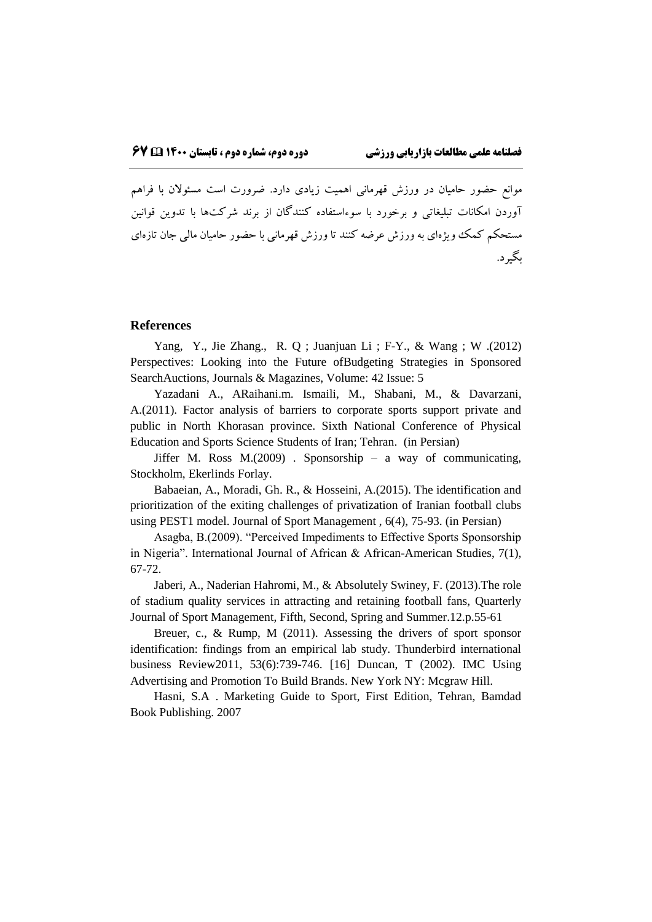موانع حضور حامیان در ورزش قهرمانی اهمیت زیادي دارد. ضرورت است مسئوالن با فراهم آوردن امکانات تبلیغاتی و برخورد با سوءاستفاده کنندگان از برند شرکتها با تدوین قوانین مستحکم کمک ویژهاي به ورزش عرضه کنند تا ورزش قهرمانی با حضور حامیان مالی جان تازهاي بگیرد.

#### **References**

[Yang,](https://ieeexplore.ieee.org/author/37069162600) Y., [Jie Zhang.,](https://ieeexplore.ieee.org/author/38468807900) [R. Q ;](https://ieeexplore.ieee.org/author/38468796200) [Juanjuan Li ;](https://ieeexplore.ieee.org/author/38468375000) F-Y., & [Wang ;](https://ieeexplore.ieee.org/author/37277656000) [W .](https://ieeexplore.ieee.org/author/38247483400)(2012) Perspectives: Looking into the Future ofBudgeting Strategies in Sponsored SearchAuctions, Journals & Magazines, Volume: 42 Issue: 5

Yazadani A., ARaihani.m. Ismaili, M., Shabani, M., & Davarzani, A.(2011). Factor analysis of barriers to corporate sports support private and public in North Khorasan province. Sixth National Conference of Physical Education and Sports Science Students of Iran; Tehran. (in Persian)

Jiffer M. Ross  $M(2009)$ . Sponsorship – a way of communicating, Stockholm, Ekerlinds Forlay.

Babaeian, A., Moradi, Gh. R., & Hosseini, A.(2015). The identification and prioritization of the exiting challenges of privatization of Iranian football clubs using PEST1 model. Journal of Sport Management , 6(4), 75-93. (in Persian)

Asagba, B.(2009). "Perceived Impediments to Effective Sports Sponsorship in Nigeria". International Journal of African & African-American Studies, 7(1), 67-72.

Jaberi, A., Naderian Hahromi, M., & Absolutely Swiney, F. (2013).The role of stadium quality services in attracting and retaining football fans, Quarterly Journal of Sport Management, Fifth, Second, Spring and Summer.12.p.55-61

Breuer, c., & Rump, M (2011). Assessing the drivers of sport sponsor identification: findings from an empirical lab study. Thunderbird international business Review2011, 53(6):739-746. [16] Duncan, T (2002). IMC Using Advertising and Promotion To Build Brands. New York NY: Mcgraw Hill.

Hasni, S.A . Marketing Guide to Sport, First Edition, Tehran, Bamdad Book Publishing. 2007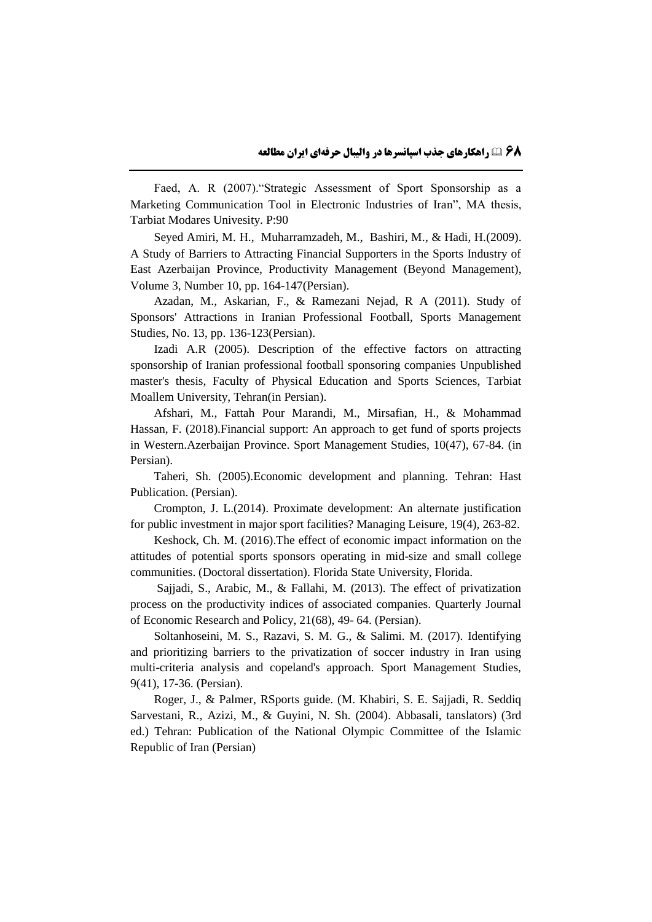Faed, A. R (2007)."Strategic Assessment of Sport Sponsorship as a Marketing Communication Tool in Electronic Industries of Iran", MA thesis, Tarbiat Modares Univesity. P:90

Seyed Amiri, M. H., Muharramzadeh, M., Bashiri, M., & Hadi, H.(2009). A Study of Barriers to Attracting Financial Supporters in the Sports Industry of East Azerbaijan Province, Productivity Management (Beyond Management), Volume 3, Number 10, pp. 164-147(Persian).

Azadan, M., Askarian, F., & Ramezani Nejad, R A (2011). Study of Sponsors' Attractions in Iranian Professional Football, Sports Management Studies, No. 13, pp. 136-123(Persian).

Izadi A.R (2005). Description of the effective factors on attracting sponsorship of Iranian professional football sponsoring companies Unpublished master's thesis, Faculty of Physical Education and Sports Sciences, Tarbiat Moallem University, Tehran(in Persian).

Afshari, M., Fattah Pour Marandi, M., Mirsafian, H., & Mohammad Hassan, F. (2018).Financial support: An approach to get fund of sports projects in Western.Azerbaijan Province. Sport Management Studies, 10(47), 67-84. (in Persian).

Taheri, Sh. (2005).Economic development and planning. Tehran: Hast Publication. (Persian).

Crompton, J. L.(2014). Proximate development: An alternate justification for public investment in major sport facilities? Managing Leisure, 19(4), 263-82.

Keshock, Ch. M. (2016).The effect of economic impact information on the attitudes of potential sports sponsors operating in mid-size and small college communities. (Doctoral dissertation). Florida State University, Florida.

Sajjadi, S., Arabic, M., & Fallahi, M. (2013). The effect of privatization process on the productivity indices of associated companies. Quarterly Journal of Economic Research and Policy, 21(68), 49- 64. (Persian).

Soltanhoseini, M. S., Razavi, S. M. G., & Salimi. M. (2017). Identifying and prioritizing barriers to the privatization of soccer industry in Iran using multi-criteria analysis and copeland's approach. Sport Management Studies, 9(41), 17-36. (Persian).

Roger, J., & Palmer, RSports guide. (M. Khabiri, S. E. Sajjadi, R. Seddiq Sarvestani, R., Azizi, M., & Guyini, N. Sh. (2004). Abbasali, tanslators) (3rd ed.) Tehran: Publication of the National Olympic Committee of the Islamic Republic of Iran (Persian)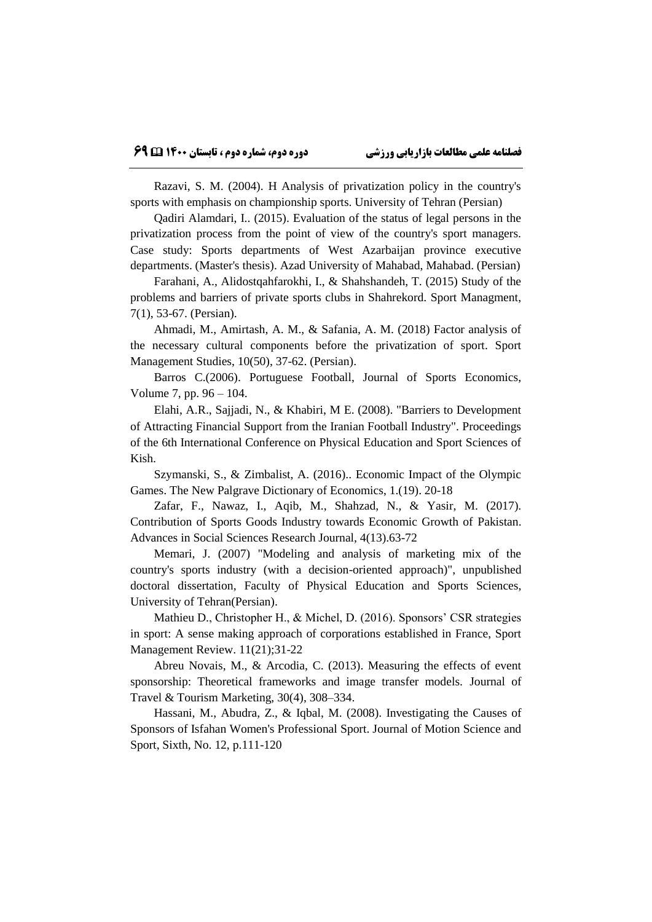Razavi, S. M. (2004). H Analysis of privatization policy in the country's sports with emphasis on championship sports. University of Tehran (Persian)

Qadiri Alamdari, I.. (2015). Evaluation of the status of legal persons in the privatization process from the point of view of the country's sport managers. Case study: Sports departments of West Azarbaijan province executive departments. (Master's thesis). Azad University of Mahabad, Mahabad. (Persian)

Farahani, A., Alidostqahfarokhi, I., & Shahshandeh, T. (2015) Study of the problems and barriers of private sports clubs in Shahrekord. Sport Managment, 7(1), 53-67. (Persian).

Ahmadi, M., Amirtash, A. M., & Safania, A. M. (2018) Factor analysis of the necessary cultural components before the privatization of sport. Sport Management Studies, 10(50), 37-62. (Persian).

Barros C.(2006). Portuguese Football, Journal of Sports Economics, Volume 7, pp. 96 – 104.

Elahi, A.R., Sajjadi, N., & Khabiri, M E. (2008). "Barriers to Development of Attracting Financial Support from the Iranian Football Industry". Proceedings of the 6th International Conference on Physical Education and Sport Sciences of Kish.

Szymanski, S., & Zimbalist, A. (2016).. Economic Impact of the Olympic Games. The New Palgrave Dictionary of Economics, 1.(19). 20-18

Zafar, F., Nawaz, I., Aqib, M., Shahzad, N., & Yasir, M. (2017). Contribution of Sports Goods Industry towards Economic Growth of Pakistan. Advances in Social Sciences Research Journal, 4(13).63-72

Memari, J. (2007) "Modeling and analysis of marketing mix of the country's sports industry (with a decision-oriented approach)", unpublished doctoral dissertation, Faculty of Physical Education and Sports Sciences, University of Tehran(Persian).

Mathieu D., Christopher H., & Michel, D. (2016). Sponsors' CSR strategies in sport: A sense making approach of corporations established in France, Sport Management Review. 11(21);31-22

Abreu Novais, M., & Arcodia, C. (2013). Measuring the effects of event sponsorship: Theoretical frameworks and image transfer models. Journal of Travel & Tourism Marketing, 30(4), 308–334.

Hassani, M., Abudra, Z., & Iqbal, M. (2008). Investigating the Causes of Sponsors of Isfahan Women's Professional Sport. Journal of Motion Science and Sport, Sixth, No. 12, p.111-120